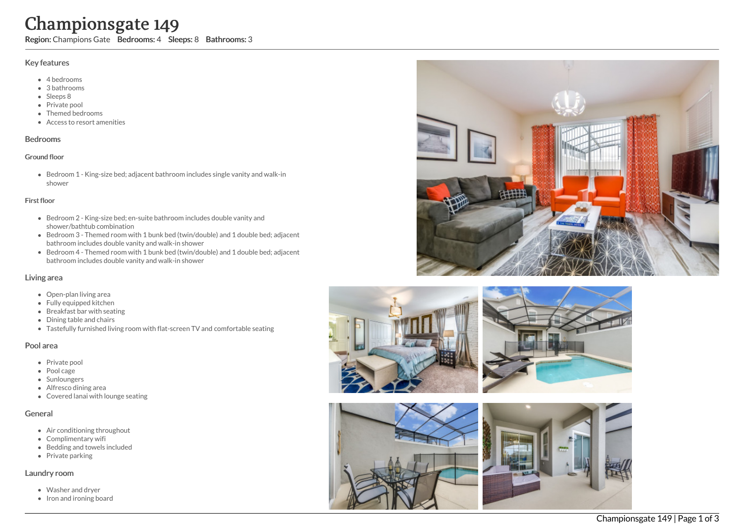# Championsgate 149

Region: Champions Gate Bedrooms: 4 Sleeps: 8 Bathrooms: 3

#### Key features

- 4 b e d r o o m s
- 3 b a t h r o o m s
- Sleeps 8
- Private pool
- Themed bed r o o m s
- Access to resort amenities

#### **Bedrooms**

#### Ground floor

Bedroom 1 - King-size bed; adjacent bathroom includes single vanity and walk-in s h o w e r

#### First floor

- Bedroom 2 King-size bed; en-suite bathroom includes double vanity and shower/bathtub combination
- Bedroom 3 Themed room with 1 bunk bed (twin/double) and 1 double bed; adjacent bathroom includes double vanity and walk-in shower
- Bedroom 4 Themed room with 1 bunk bed (twin/double) and 1 double bed; adjacent bathroom includes double vanity and walk-in shower

## Living area

- Open-plan living area
- Fully equipped kitchen
- Breakfast bar with seating
- Dining table and chairs
- Tastefully furnished living room with flat-screen TV and comfortable seating

## Pool area

- Private pool
- Pool cage
- Sunloungers
- Alfresco dining area
- Covered lanai with lounge seating

## General

- Air conditioning throughout
- Complimentary wifi
- Bedding and towels in clu d e d
- Private parking

## Laundry room

- Washer and dryer
- Iron and ironing board







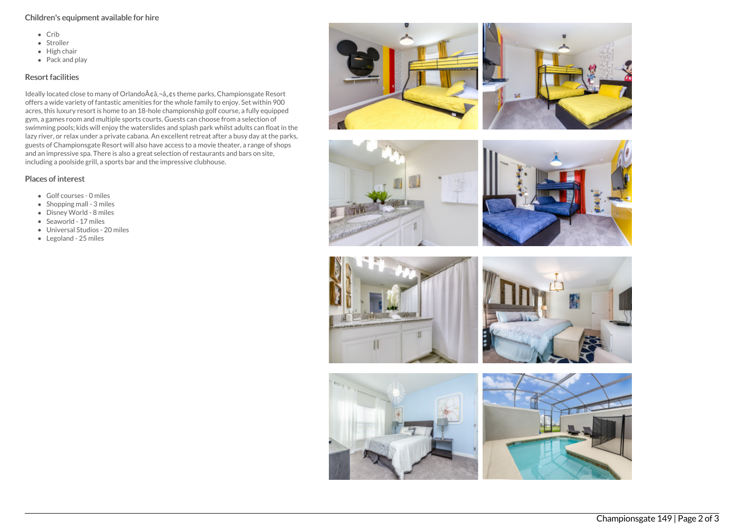## Children's equipment available for hire

- $\bullet$  Crib
- Stroller
- $\bullet$  High chair
- $\bullet$  Pack and play

# Resort facilities

Ideally located close to many of Orlando A¢â,¬â"¢s theme parks, Championsgate Resort offers a wide variety of fantastic amenities for the whole family to enjoy. Set within 900 acres, this luxury resort is home to an 18-hole championship golf course, a fully equipped gym, a games room and multiple sports courts. Guests can choose from a selection of swimming pools; kids will enjoy the waterslides and splash park whilst adults can float in the lazy river, or relax under a private cabana. An excellent retreat after a busy day at the parks, guests of Championsgate Resort will also have access to a movie theater, a range of shops and an impressive spa. There is also a great selection of restaurants and bars on site, including a poolside grill, a sports bar and the impressive clubhouse.

# Places of interest

- Golf courses 0 miles
- $\bullet$  Shopping mall 3 miles
- Disney World 8 miles
- Seaworld 17 miles
- Universal Studios 20 miles
- Legoland 25 miles